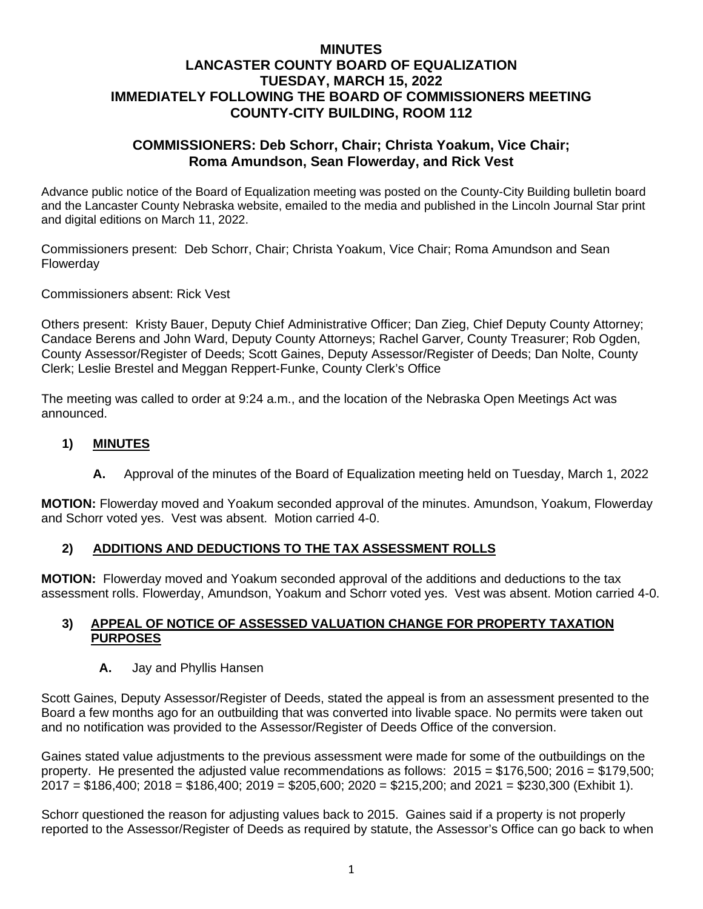## **MINUTES LANCASTER COUNTY BOARD OF EQUALIZATION TUESDAY, MARCH 15, 2022 IMMEDIATELY FOLLOWING THE BOARD OF COMMISSIONERS MEETING COUNTY-CITY BUILDING, ROOM 112**

## **COMMISSIONERS: Deb Schorr, Chair; Christa Yoakum, Vice Chair; Roma Amundson, Sean Flowerday, and Rick Vest**

Advance public notice of the Board of Equalization meeting was posted on the County-City Building bulletin board and the Lancaster County Nebraska website, emailed to the media and published in the Lincoln Journal Star print and digital editions on March 11, 2022.

Commissioners present: Deb Schorr, Chair; Christa Yoakum, Vice Chair; Roma Amundson and Sean Flowerday

Commissioners absent: Rick Vest

Others present: Kristy Bauer, Deputy Chief Administrative Officer; Dan Zieg, Chief Deputy County Attorney; Candace Berens and John Ward, Deputy County Attorneys; Rachel Garver, County Treasurer; Rob Ogden, County Assessor/Register of Deeds; Scott Gaines, Deputy Assessor/Register of Deeds; Dan Nolte, County Clerk; Leslie Brestel and Meggan Reppert-Funke, County Clerk's Office

The meeting was called to order at 9:24 a.m., and the location of the Nebraska Open Meetings Act was announced.

## **1) MINUTES**

**A.** Approval of the [minutes](https://www.lancaster.ne.gov/DocumentCenter/View/10840/mi210921-BOE) of the Board of Equalization meeting held on Tuesday, March 1, 2022

**MOTION:** Flowerday moved and Yoakum seconded approval of the minutes. Amundson, Yoakum, Flowerday and Schorr voted yes. Vest was absent. Motion carried 4-0.

## **2) ADDITIONS AND DEDUCTIONS TO THE TAX ASSESSMENT ROLLS**

**MOTION:** Flowerday moved and Yoakum seconded approval of the additions and deductions to the tax assessment rolls. Flowerday, Amundson, Yoakum and Schorr voted yes. Vest was absent. Motion carried 4-0.

#### **3) APPEAL OF NOTICE OF ASSESSED VALUATION CHANGE FOR PROPERTY TAXATION PURPOSES**

**A.** Jay and Phyllis Hansen

Scott Gaines, Deputy Assessor/Register of Deeds, stated the appeal is from an assessment presented to the Board a few months ago for an outbuilding that was converted into livable space. No permits were taken out and no notification was provided to the Assessor/Register of Deeds Office of the conversion.

Gaines stated value adjustments to the previous assessment were made for some of the outbuildings on the property. He presented the adjusted value recommendations as follows: 2015 = \$176,500; 2016 = \$179,500; 2017 = \$186,400; 2018 = \$186,400; 2019 = \$205,600; 2020 = \$215,200; and 2021 = \$230,300 (Exhibit 1).

Schorr questioned the reason for adjusting values back to 2015. Gaines said if a property is not properly reported to the Assessor/Register of Deeds as required by statute, the Assessor's Office can go back to when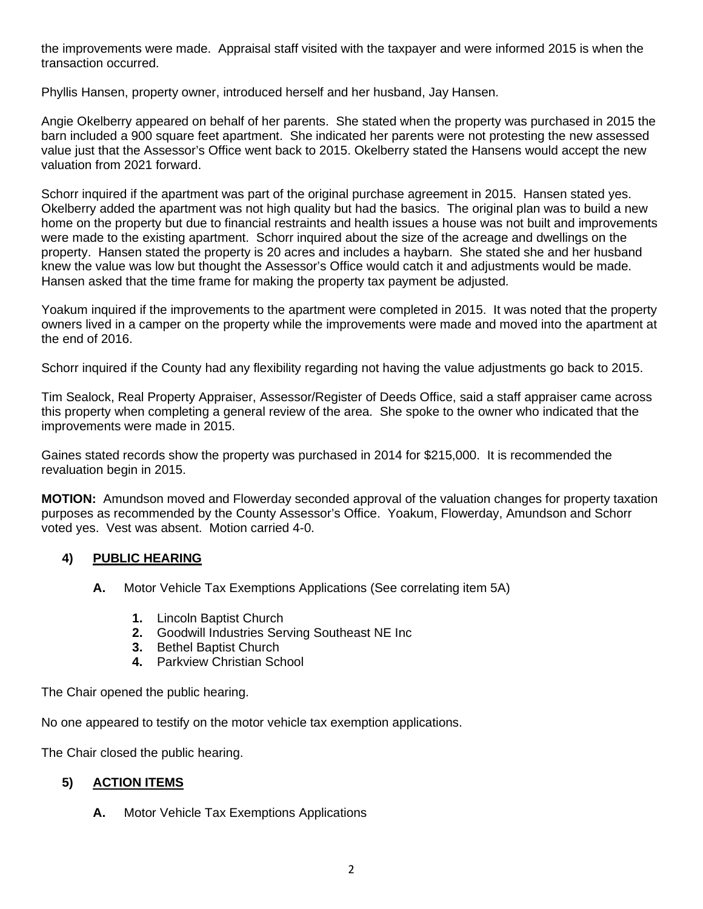the improvements were made. Appraisal staff visited with the taxpayer and were informed 2015 is when the transaction occurred.

Phyllis Hansen, property owner, introduced herself and her husband, Jay Hansen.

Angie Okelberry appeared on behalf of her parents. She stated when the property was purchased in 2015 the barn included a 900 square feet apartment. She indicated her parents were not protesting the new assessed value just that the Assessor's Office went back to 2015. Okelberry stated the Hansens would accept the new valuation from 2021 forward.

Schorr inquired if the apartment was part of the original purchase agreement in 2015. Hansen stated yes. Okelberry added the apartment was not high quality but had the basics. The original plan was to build a new home on the property but due to financial restraints and health issues a house was not built and improvements were made to the existing apartment. Schorr inquired about the size of the acreage and dwellings on the property. Hansen stated the property is 20 acres and includes a haybarn. She stated she and her husband knew the value was low but thought the Assessor's Office would catch it and adjustments would be made. Hansen asked that the time frame for making the property tax payment be adjusted.

Yoakum inquired if the improvements to the apartment were completed in 2015. It was noted that the property owners lived in a camper on the property while the improvements were made and moved into the apartment at the end of 2016.

Schorr inquired if the County had any flexibility regarding not having the value adjustments go back to 2015.

Tim Sealock, Real Property Appraiser, Assessor/Register of Deeds Office, said a staff appraiser came across this property when completing a general review of the area. She spoke to the owner who indicated that the improvements were made in 2015.

Gaines stated records show the property was purchased in 2014 for \$215,000. It is recommended the revaluation begin in 2015.

**MOTION:** Amundson moved and Flowerday seconded approval of the valuation changes for property taxation purposes as recommended by the County Assessor's Office. Yoakum, Flowerday, Amundson and Schorr voted yes. Vest was absent. Motion carried 4-0.

## **4) PUBLIC HEARING**

- **A.** Motor Vehicle Tax Exemptions Applications (See correlating item 5A)
	- **1.** Lincoln Baptist Church
	- **2.** Goodwill Industries Serving Southeast NE Inc
	- **3.** Bethel Baptist Church
	- **4.** Parkview Christian School

The Chair opened the public hearing.

No one appeared to testify on the motor vehicle tax exemption applications.

The Chair closed the public hearing.

# **5) ACTION ITEMS**

**A.** Motor Vehicle Tax Exemptions Applications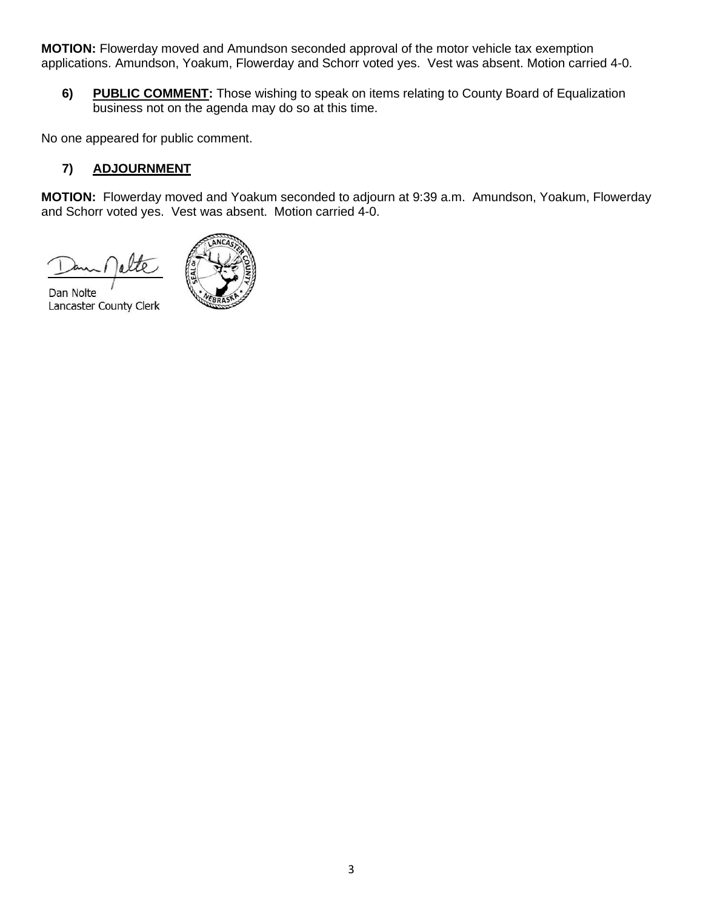**MOTION:** Flowerday moved and Amundson seconded approval of the motor vehicle tax exemption applications. Amundson, Yoakum, Flowerday and Schorr voted yes. Vest was absent. Motion carried 4-0.

**6) PUBLIC COMMENT:** Those wishing to speak on items relating to County Board of Equalization business not on the agenda may do so at this time.

No one appeared for public comment.

## **7) ADJOURNMENT**

**MOTION:** Flowerday moved and Yoakum seconded to adjourn at 9:39 a.m. Amundson, Yoakum, Flowerday and Schorr voted yes. Vest was absent. Motion carried 4-0.

Dan Nolte Lancaster County Clerk